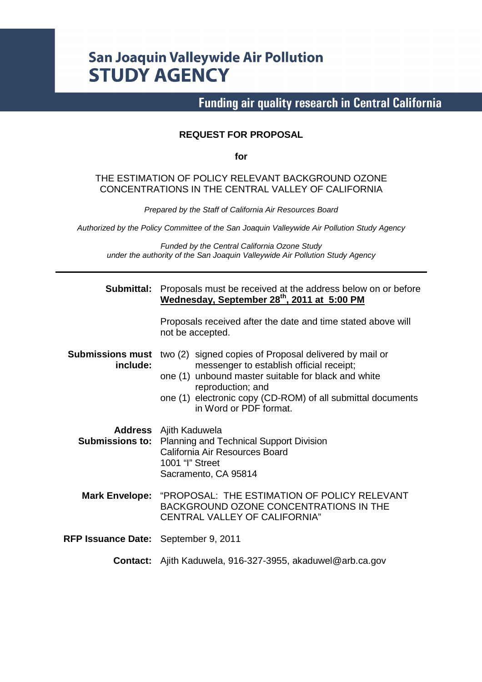# **San Joaquin Valleywide Air Pollution STUDY AGENCY**

**Funding air quality research in Central California** 

#### **REQUEST FOR PROPOSAL**

**for** 

#### THE ESTIMATION OF POLICY RELEVANT BACKGROUND OZONE CONCENTRATIONS IN THE CENTRAL VALLEY OF CALIFORNIA

Prepared by the Staff of California Air Resources Board

Authorized by the Policy Committee of the San Joaquin Valleywide Air Pollution Study Agency

Funded by the Central California Ozone Study under the authority of the San Joaquin Valleywide Air Pollution Study Agency

| Submittal:                           | Proposals must be received at the address below on or before<br>Wednesday, September 28 <sup>th</sup> , 2011 at 5:00 PM                                                                                                                                                 |  |  |  |  |  |  |
|--------------------------------------|-------------------------------------------------------------------------------------------------------------------------------------------------------------------------------------------------------------------------------------------------------------------------|--|--|--|--|--|--|
|                                      | Proposals received after the date and time stated above will<br>not be accepted.                                                                                                                                                                                        |  |  |  |  |  |  |
| <b>Submissions must</b><br>include:  | two (2) signed copies of Proposal delivered by mail or<br>messenger to establish official receipt;<br>one (1) unbound master suitable for black and white<br>reproduction; and<br>one (1) electronic copy (CD-ROM) of all submittal documents<br>in Word or PDF format. |  |  |  |  |  |  |
| <b>Submissions to:</b>               | <b>Address</b> Ajith Kaduwela<br>Planning and Technical Support Division<br>California Air Resources Board<br>1001 "I" Street<br>Sacramento, CA 95814                                                                                                                   |  |  |  |  |  |  |
| <b>Mark Envelope:</b>                | "PROPOSAL: THE ESTIMATION OF POLICY RELEVANT<br><b>BACKGROUND OZONE CONCENTRATIONS IN THE</b><br>CENTRAL VALLEY OF CALIFORNIA"                                                                                                                                          |  |  |  |  |  |  |
| RFP Issuance Date: September 9, 2011 |                                                                                                                                                                                                                                                                         |  |  |  |  |  |  |
|                                      | <b>Contact:</b> Ajith Kaduwela, 916-327-3955, akaduwel@arb.ca.gov                                                                                                                                                                                                       |  |  |  |  |  |  |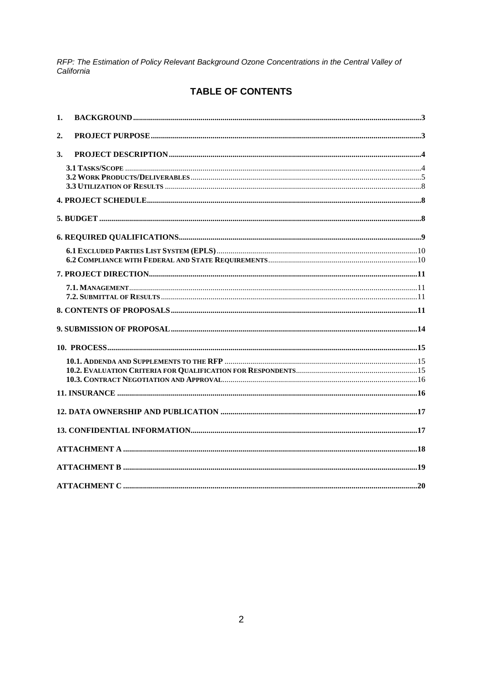## TABLE OF CONTENTS

| 1.               |  |
|------------------|--|
| $\overline{2}$ . |  |
| 3.               |  |
|                  |  |
|                  |  |
|                  |  |
|                  |  |
|                  |  |
|                  |  |
|                  |  |
|                  |  |
|                  |  |
|                  |  |
|                  |  |
|                  |  |
|                  |  |
|                  |  |
|                  |  |
|                  |  |
|                  |  |
|                  |  |
|                  |  |
|                  |  |
|                  |  |
|                  |  |
|                  |  |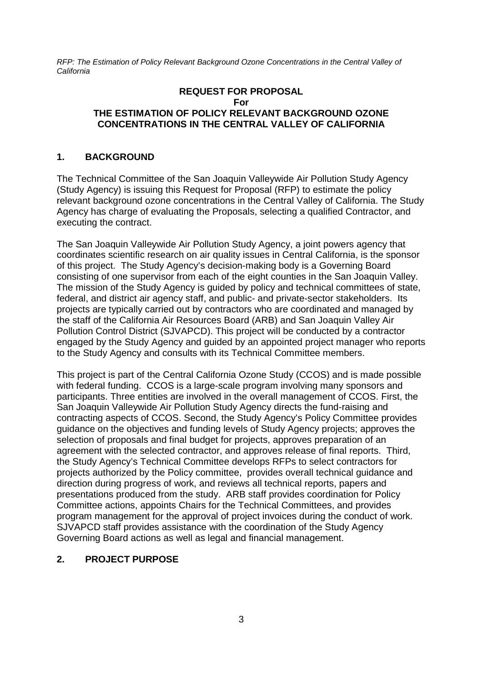#### **REQUEST FOR PROPOSAL For THE ESTIMATION OF POLICY RELEVANT BACKGROUND OZONE CONCENTRATIONS IN THE CENTRAL VALLEY OF CALIFORNIA**

#### **1. BACKGROUND**

The Technical Committee of the San Joaquin Valleywide Air Pollution Study Agency (Study Agency) is issuing this Request for Proposal (RFP) to estimate the policy relevant background ozone concentrations in the Central Valley of California. The Study Agency has charge of evaluating the Proposals, selecting a qualified Contractor, and executing the contract.

The San Joaquin Valleywide Air Pollution Study Agency, a joint powers agency that coordinates scientific research on air quality issues in Central California, is the sponsor of this project. The Study Agency's decision-making body is a Governing Board consisting of one supervisor from each of the eight counties in the San Joaquin Valley. The mission of the Study Agency is guided by policy and technical committees of state, federal, and district air agency staff, and public- and private-sector stakeholders. Its projects are typically carried out by contractors who are coordinated and managed by the staff of the California Air Resources Board (ARB) and San Joaquin Valley Air Pollution Control District (SJVAPCD). This project will be conducted by a contractor engaged by the Study Agency and guided by an appointed project manager who reports to the Study Agency and consults with its Technical Committee members.

This project is part of the Central California Ozone Study (CCOS) and is made possible with federal funding. CCOS is a large-scale program involving many sponsors and participants. Three entities are involved in the overall management of CCOS. First, the San Joaquin Valleywide Air Pollution Study Agency directs the fund-raising and contracting aspects of CCOS. Second, the Study Agency's Policy Committee provides guidance on the objectives and funding levels of Study Agency projects; approves the selection of proposals and final budget for projects, approves preparation of an agreement with the selected contractor, and approves release of final reports. Third, the Study Agency's Technical Committee develops RFPs to select contractors for projects authorized by the Policy committee, provides overall technical guidance and direction during progress of work, and reviews all technical reports, papers and presentations produced from the study. ARB staff provides coordination for Policy Committee actions, appoints Chairs for the Technical Committees, and provides program management for the approval of project invoices during the conduct of work. SJVAPCD staff provides assistance with the coordination of the Study Agency Governing Board actions as well as legal and financial management.

#### **2. PROJECT PURPOSE**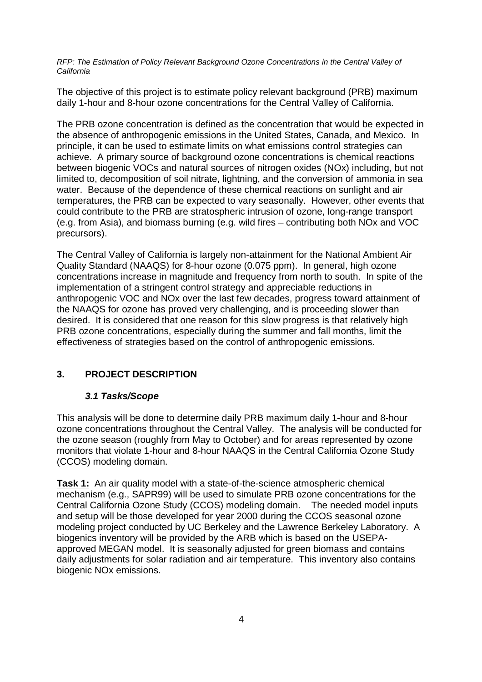The objective of this project is to estimate policy relevant background (PRB) maximum daily 1-hour and 8-hour ozone concentrations for the Central Valley of California.

The PRB ozone concentration is defined as the concentration that would be expected in the absence of anthropogenic emissions in the United States, Canada, and Mexico. In principle, it can be used to estimate limits on what emissions control strategies can achieve. A primary source of background ozone concentrations is chemical reactions between biogenic VOCs and natural sources of nitrogen oxides (NOx) including, but not limited to, decomposition of soil nitrate, lightning, and the conversion of ammonia in sea water. Because of the dependence of these chemical reactions on sunlight and air temperatures, the PRB can be expected to vary seasonally. However, other events that could contribute to the PRB are stratospheric intrusion of ozone, long-range transport (e.g. from Asia), and biomass burning (e.g. wild fires – contributing both NOx and VOC precursors).

The Central Valley of California is largely non-attainment for the National Ambient Air Quality Standard (NAAQS) for 8-hour ozone (0.075 ppm). In general, high ozone concentrations increase in magnitude and frequency from north to south. In spite of the implementation of a stringent control strategy and appreciable reductions in anthropogenic VOC and NOx over the last few decades, progress toward attainment of the NAAQS for ozone has proved very challenging, and is proceeding slower than desired. It is considered that one reason for this slow progress is that relatively high PRB ozone concentrations, especially during the summer and fall months, limit the effectiveness of strategies based on the control of anthropogenic emissions.

## **3. PROJECT DESCRIPTION**

#### **3.1 Tasks/Scope**

This analysis will be done to determine daily PRB maximum daily 1-hour and 8-hour ozone concentrations throughout the Central Valley. The analysis will be conducted for the ozone season (roughly from May to October) and for areas represented by ozone monitors that violate 1-hour and 8-hour NAAQS in the Central California Ozone Study (CCOS) modeling domain.

**Task 1:** An air quality model with a state-of-the-science atmospheric chemical mechanism (e.g., SAPR99) will be used to simulate PRB ozone concentrations for the Central California Ozone Study (CCOS) modeling domain. The needed model inputs and setup will be those developed for year 2000 during the CCOS seasonal ozone modeling project conducted by UC Berkeley and the Lawrence Berkeley Laboratory. A biogenics inventory will be provided by the ARB which is based on the USEPAapproved MEGAN model. It is seasonally adjusted for green biomass and contains daily adjustments for solar radiation and air temperature. This inventory also contains biogenic NOx emissions.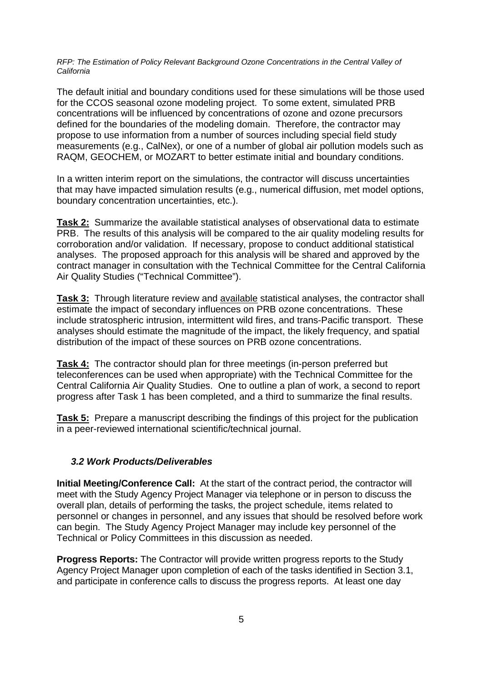The default initial and boundary conditions used for these simulations will be those used for the CCOS seasonal ozone modeling project. To some extent, simulated PRB concentrations will be influenced by concentrations of ozone and ozone precursors defined for the boundaries of the modeling domain. Therefore, the contractor may propose to use information from a number of sources including special field study measurements (e.g., CalNex), or one of a number of global air pollution models such as RAQM, GEOCHEM, or MOZART to better estimate initial and boundary conditions.

In a written interim report on the simulations, the contractor will discuss uncertainties that may have impacted simulation results (e.g., numerical diffusion, met model options, boundary concentration uncertainties, etc.).

**Task 2:** Summarize the available statistical analyses of observational data to estimate PRB. The results of this analysis will be compared to the air quality modeling results for corroboration and/or validation. If necessary, propose to conduct additional statistical analyses. The proposed approach for this analysis will be shared and approved by the contract manager in consultation with the Technical Committee for the Central California Air Quality Studies ("Technical Committee").

**Task 3:** Through literature review and available statistical analyses, the contractor shall estimate the impact of secondary influences on PRB ozone concentrations. These include stratospheric intrusion, intermittent wild fires, and trans-Pacific transport. These analyses should estimate the magnitude of the impact, the likely frequency, and spatial distribution of the impact of these sources on PRB ozone concentrations.

**Task 4:** The contractor should plan for three meetings (in-person preferred but teleconferences can be used when appropriate) with the Technical Committee for the Central California Air Quality Studies. One to outline a plan of work, a second to report progress after Task 1 has been completed, and a third to summarize the final results.

**Task 5:** Prepare a manuscript describing the findings of this project for the publication in a peer-reviewed international scientific/technical journal.

#### **3.2 Work Products/Deliverables**

**Initial Meeting/Conference Call:** At the start of the contract period, the contractor will meet with the Study Agency Project Manager via telephone or in person to discuss the overall plan, details of performing the tasks, the project schedule, items related to personnel or changes in personnel, and any issues that should be resolved before work can begin. The Study Agency Project Manager may include key personnel of the Technical or Policy Committees in this discussion as needed.

**Progress Reports:** The Contractor will provide written progress reports to the Study Agency Project Manager upon completion of each of the tasks identified in Section 3.1, and participate in conference calls to discuss the progress reports. At least one day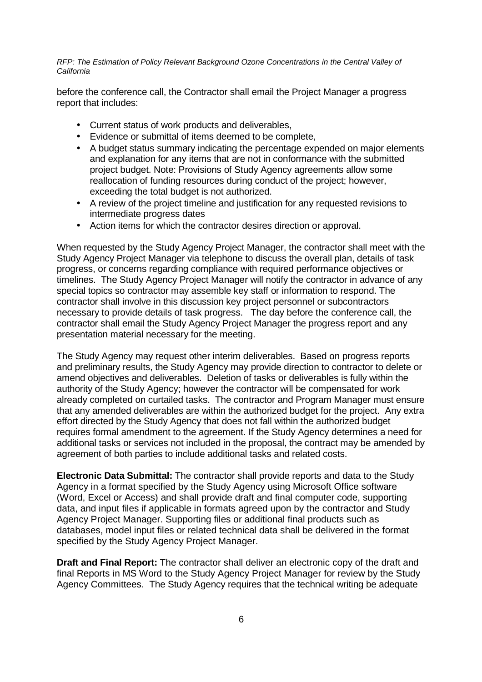before the conference call, the Contractor shall email the Project Manager a progress report that includes:

- Current status of work products and deliverables,
- Evidence or submittal of items deemed to be complete,
- A budget status summary indicating the percentage expended on major elements and explanation for any items that are not in conformance with the submitted project budget. Note: Provisions of Study Agency agreements allow some reallocation of funding resources during conduct of the project; however, exceeding the total budget is not authorized.
- A review of the project timeline and justification for any requested revisions to intermediate progress dates
- Action items for which the contractor desires direction or approval.

When requested by the Study Agency Project Manager, the contractor shall meet with the Study Agency Project Manager via telephone to discuss the overall plan, details of task progress, or concerns regarding compliance with required performance objectives or timelines. The Study Agency Project Manager will notify the contractor in advance of any special topics so contractor may assemble key staff or information to respond. The contractor shall involve in this discussion key project personnel or subcontractors necessary to provide details of task progress. The day before the conference call, the contractor shall email the Study Agency Project Manager the progress report and any presentation material necessary for the meeting.

The Study Agency may request other interim deliverables. Based on progress reports and preliminary results, the Study Agency may provide direction to contractor to delete or amend objectives and deliverables. Deletion of tasks or deliverables is fully within the authority of the Study Agency; however the contractor will be compensated for work already completed on curtailed tasks. The contractor and Program Manager must ensure that any amended deliverables are within the authorized budget for the project. Any extra effort directed by the Study Agency that does not fall within the authorized budget requires formal amendment to the agreement. If the Study Agency determines a need for additional tasks or services not included in the proposal, the contract may be amended by agreement of both parties to include additional tasks and related costs.

**Electronic Data Submittal:** The contractor shall provide reports and data to the Study Agency in a format specified by the Study Agency using Microsoft Office software (Word, Excel or Access) and shall provide draft and final computer code, supporting data, and input files if applicable in formats agreed upon by the contractor and Study Agency Project Manager. Supporting files or additional final products such as databases, model input files or related technical data shall be delivered in the format specified by the Study Agency Project Manager.

**Draft and Final Report:** The contractor shall deliver an electronic copy of the draft and final Reports in MS Word to the Study Agency Project Manager for review by the Study Agency Committees. The Study Agency requires that the technical writing be adequate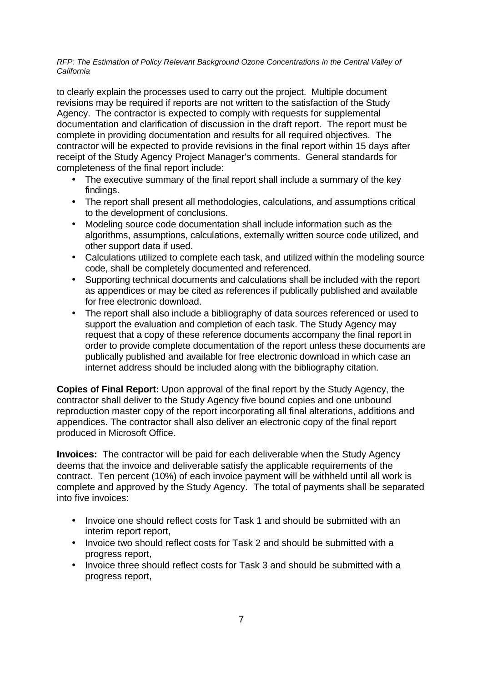to clearly explain the processes used to carry out the project. Multiple document revisions may be required if reports are not written to the satisfaction of the Study Agency. The contractor is expected to comply with requests for supplemental documentation and clarification of discussion in the draft report. The report must be complete in providing documentation and results for all required objectives. The contractor will be expected to provide revisions in the final report within 15 days after receipt of the Study Agency Project Manager's comments. General standards for completeness of the final report include:

- The executive summary of the final report shall include a summary of the key findings.
- The report shall present all methodologies, calculations, and assumptions critical to the development of conclusions.
- Modeling source code documentation shall include information such as the algorithms, assumptions, calculations, externally written source code utilized, and other support data if used.
- Calculations utilized to complete each task, and utilized within the modeling source code, shall be completely documented and referenced.
- Supporting technical documents and calculations shall be included with the report as appendices or may be cited as references if publically published and available for free electronic download.
- The report shall also include a bibliography of data sources referenced or used to support the evaluation and completion of each task. The Study Agency may request that a copy of these reference documents accompany the final report in order to provide complete documentation of the report unless these documents are publically published and available for free electronic download in which case an internet address should be included along with the bibliography citation.

**Copies of Final Report:** Upon approval of the final report by the Study Agency, the contractor shall deliver to the Study Agency five bound copies and one unbound reproduction master copy of the report incorporating all final alterations, additions and appendices. The contractor shall also deliver an electronic copy of the final report produced in Microsoft Office.

**Invoices:** The contractor will be paid for each deliverable when the Study Agency deems that the invoice and deliverable satisfy the applicable requirements of the contract. Ten percent (10%) of each invoice payment will be withheld until all work is complete and approved by the Study Agency. The total of payments shall be separated into five invoices:

- Invoice one should reflect costs for Task 1 and should be submitted with an interim report report,
- Invoice two should reflect costs for Task 2 and should be submitted with a progress report,
- Invoice three should reflect costs for Task 3 and should be submitted with a progress report,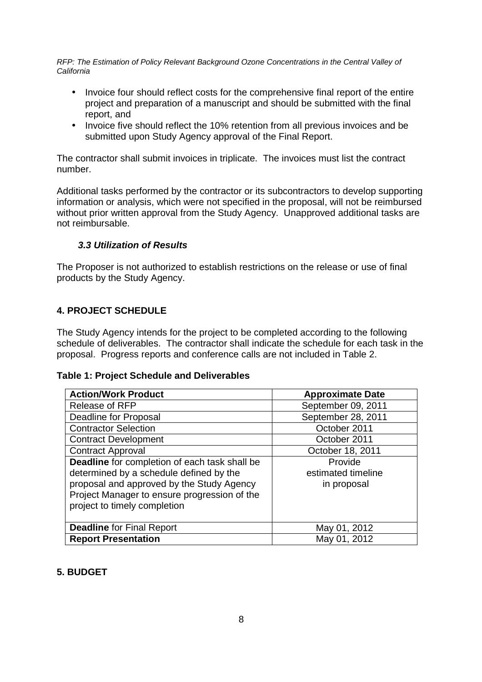- Invoice four should reflect costs for the comprehensive final report of the entire project and preparation of a manuscript and should be submitted with the final report, and
- Invoice five should reflect the 10% retention from all previous invoices and be submitted upon Study Agency approval of the Final Report.

The contractor shall submit invoices in triplicate. The invoices must list the contract number.

Additional tasks performed by the contractor or its subcontractors to develop supporting information or analysis, which were not specified in the proposal, will not be reimbursed without prior written approval from the Study Agency. Unapproved additional tasks are not reimbursable.

#### **3.3 Utilization of Results**

The Proposer is not authorized to establish restrictions on the release or use of final products by the Study Agency.

#### **4. PROJECT SCHEDULE**

The Study Agency intends for the project to be completed according to the following schedule of deliverables. The contractor shall indicate the schedule for each task in the proposal. Progress reports and conference calls are not included in Table 2.

#### **Table 1: Project Schedule and Deliverables**

| <b>Action/Work Product</b>                                                                                                                                                                                            | <b>Approximate Date</b>                      |
|-----------------------------------------------------------------------------------------------------------------------------------------------------------------------------------------------------------------------|----------------------------------------------|
| <b>Release of RFP</b>                                                                                                                                                                                                 | September 09, 2011                           |
| Deadline for Proposal                                                                                                                                                                                                 | September 28, 2011                           |
| <b>Contractor Selection</b>                                                                                                                                                                                           | October 2011                                 |
| <b>Contract Development</b>                                                                                                                                                                                           | October 2011                                 |
| <b>Contract Approval</b>                                                                                                                                                                                              | October 18, 2011                             |
| Deadline for completion of each task shall be<br>determined by a schedule defined by the<br>proposal and approved by the Study Agency<br>Project Manager to ensure progression of the<br>project to timely completion | Provide<br>estimated timeline<br>in proposal |
| <b>Deadline for Final Report</b>                                                                                                                                                                                      | May 01, 2012                                 |
| <b>Report Presentation</b>                                                                                                                                                                                            | May 01, 2012                                 |

#### **5. BUDGET**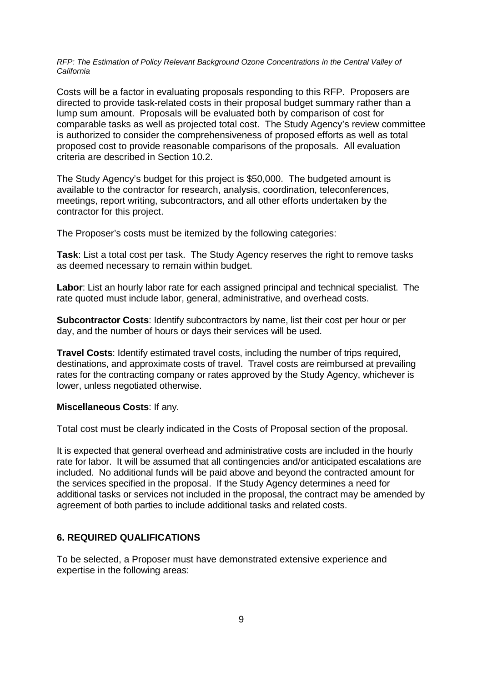Costs will be a factor in evaluating proposals responding to this RFP. Proposers are directed to provide task-related costs in their proposal budget summary rather than a lump sum amount. Proposals will be evaluated both by comparison of cost for comparable tasks as well as projected total cost. The Study Agency's review committee is authorized to consider the comprehensiveness of proposed efforts as well as total proposed cost to provide reasonable comparisons of the proposals. All evaluation criteria are described in Section 10.2.

The Study Agency's budget for this project is \$50,000. The budgeted amount is available to the contractor for research, analysis, coordination, teleconferences, meetings, report writing, subcontractors, and all other efforts undertaken by the contractor for this project.

The Proposer's costs must be itemized by the following categories:

**Task**: List a total cost per task. The Study Agency reserves the right to remove tasks as deemed necessary to remain within budget.

**Labor**: List an hourly labor rate for each assigned principal and technical specialist. The rate quoted must include labor, general, administrative, and overhead costs.

**Subcontractor Costs**: Identify subcontractors by name, list their cost per hour or per day, and the number of hours or days their services will be used.

**Travel Costs**: Identify estimated travel costs, including the number of trips required, destinations, and approximate costs of travel. Travel costs are reimbursed at prevailing rates for the contracting company or rates approved by the Study Agency, whichever is lower, unless negotiated otherwise.

#### **Miscellaneous Costs**: If any.

Total cost must be clearly indicated in the Costs of Proposal section of the proposal.

It is expected that general overhead and administrative costs are included in the hourly rate for labor. It will be assumed that all contingencies and/or anticipated escalations are included. No additional funds will be paid above and beyond the contracted amount for the services specified in the proposal. If the Study Agency determines a need for additional tasks or services not included in the proposal, the contract may be amended by agreement of both parties to include additional tasks and related costs.

#### **6. REQUIRED QUALIFICATIONS**

To be selected, a Proposer must have demonstrated extensive experience and expertise in the following areas: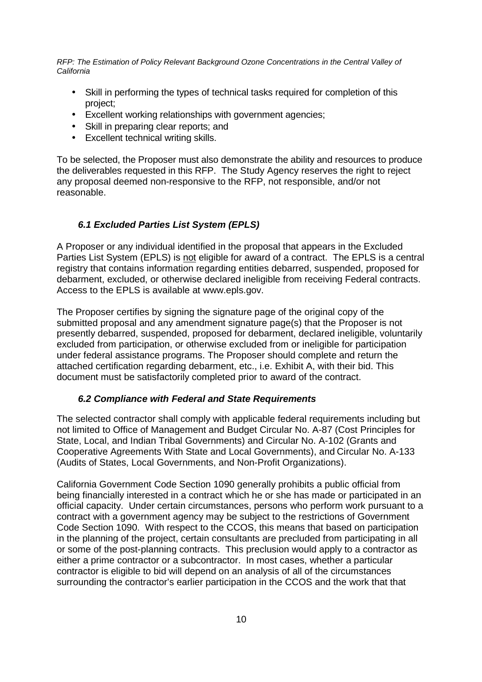- Skill in performing the types of technical tasks required for completion of this project;
- Excellent working relationships with government agencies;
- Skill in preparing clear reports; and
- Excellent technical writing skills.

To be selected, the Proposer must also demonstrate the ability and resources to produce the deliverables requested in this RFP. The Study Agency reserves the right to reject any proposal deemed non-responsive to the RFP, not responsible, and/or not reasonable.

#### **6.1 Excluded Parties List System (EPLS)**

A Proposer or any individual identified in the proposal that appears in the Excluded Parties List System (EPLS) is not eligible for award of a contract. The EPLS is a central registry that contains information regarding entities debarred, suspended, proposed for debarment, excluded, or otherwise declared ineligible from receiving Federal contracts. Access to the EPLS is available at www.epls.gov.

The Proposer certifies by signing the signature page of the original copy of the submitted proposal and any amendment signature page(s) that the Proposer is not presently debarred, suspended, proposed for debarment, declared ineligible, voluntarily excluded from participation, or otherwise excluded from or ineligible for participation under federal assistance programs. The Proposer should complete and return the attached certification regarding debarment, etc., i.e. Exhibit A, with their bid. This document must be satisfactorily completed prior to award of the contract.

#### **6.2 Compliance with Federal and State Requirements**

The selected contractor shall comply with applicable federal requirements including but not limited to Office of Management and Budget Circular No. A-87 (Cost Principles for State, Local, and Indian Tribal Governments) and Circular No. A-102 (Grants and Cooperative Agreements With State and Local Governments), and Circular No. A-133 (Audits of States, Local Governments, and Non-Profit Organizations).

California Government Code Section 1090 generally prohibits a public official from being financially interested in a contract which he or she has made or participated in an official capacity. Under certain circumstances, persons who perform work pursuant to a contract with a government agency may be subject to the restrictions of Government Code Section 1090. With respect to the CCOS, this means that based on participation in the planning of the project, certain consultants are precluded from participating in all or some of the post-planning contracts. This preclusion would apply to a contractor as either a prime contractor or a subcontractor. In most cases, whether a particular contractor is eligible to bid will depend on an analysis of all of the circumstances surrounding the contractor's earlier participation in the CCOS and the work that that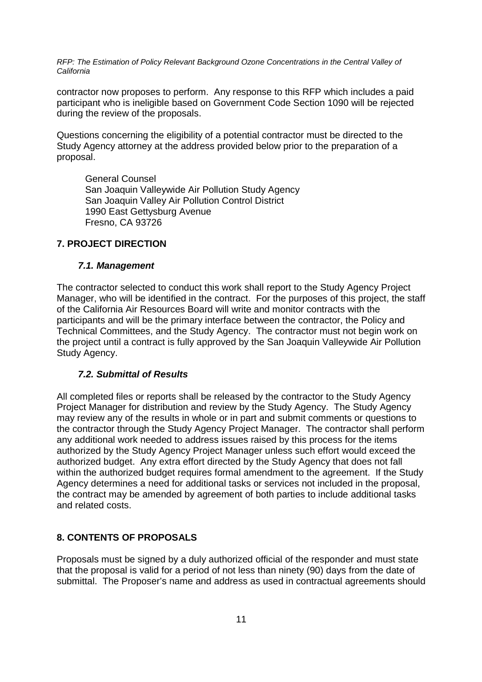contractor now proposes to perform. Any response to this RFP which includes a paid participant who is ineligible based on Government Code Section 1090 will be rejected during the review of the proposals.

Questions concerning the eligibility of a potential contractor must be directed to the Study Agency attorney at the address provided below prior to the preparation of a proposal.

General Counsel San Joaquin Valleywide Air Pollution Study Agency San Joaquin Valley Air Pollution Control District 1990 East Gettysburg Avenue Fresno, CA 93726

#### **7. PROJECT DIRECTION**

#### **7.1. Management**

The contractor selected to conduct this work shall report to the Study Agency Project Manager, who will be identified in the contract. For the purposes of this project, the staff of the California Air Resources Board will write and monitor contracts with the participants and will be the primary interface between the contractor, the Policy and Technical Committees, and the Study Agency. The contractor must not begin work on the project until a contract is fully approved by the San Joaquin Valleywide Air Pollution Study Agency.

#### **7.2. Submittal of Results**

All completed files or reports shall be released by the contractor to the Study Agency Project Manager for distribution and review by the Study Agency. The Study Agency may review any of the results in whole or in part and submit comments or questions to the contractor through the Study Agency Project Manager. The contractor shall perform any additional work needed to address issues raised by this process for the items authorized by the Study Agency Project Manager unless such effort would exceed the authorized budget. Any extra effort directed by the Study Agency that does not fall within the authorized budget requires formal amendment to the agreement. If the Study Agency determines a need for additional tasks or services not included in the proposal, the contract may be amended by agreement of both parties to include additional tasks and related costs.

#### **8. CONTENTS OF PROPOSALS**

Proposals must be signed by a duly authorized official of the responder and must state that the proposal is valid for a period of not less than ninety (90) days from the date of submittal. The Proposer's name and address as used in contractual agreements should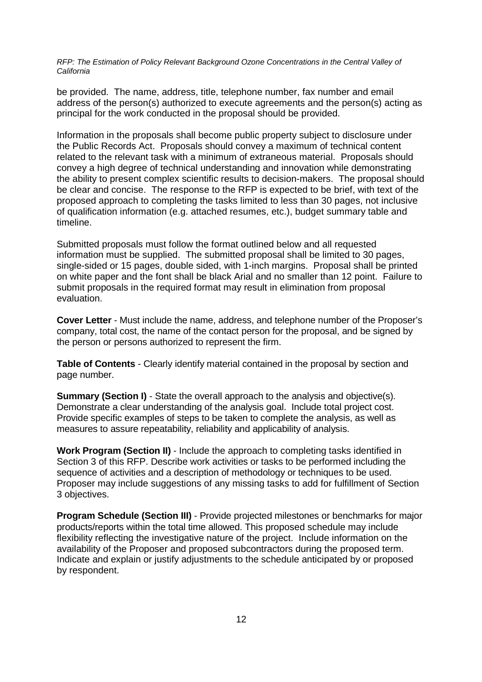be provided. The name, address, title, telephone number, fax number and email address of the person(s) authorized to execute agreements and the person(s) acting as principal for the work conducted in the proposal should be provided.

Information in the proposals shall become public property subject to disclosure under the Public Records Act. Proposals should convey a maximum of technical content related to the relevant task with a minimum of extraneous material. Proposals should convey a high degree of technical understanding and innovation while demonstrating the ability to present complex scientific results to decision-makers. The proposal should be clear and concise. The response to the RFP is expected to be brief, with text of the proposed approach to completing the tasks limited to less than 30 pages, not inclusive of qualification information (e.g. attached resumes, etc.), budget summary table and timeline.

Submitted proposals must follow the format outlined below and all requested information must be supplied. The submitted proposal shall be limited to 30 pages, single-sided or 15 pages, double sided, with 1-inch margins. Proposal shall be printed on white paper and the font shall be black Arial and no smaller than 12 point. Failure to submit proposals in the required format may result in elimination from proposal evaluation.

**Cover Letter** - Must include the name, address, and telephone number of the Proposer's company, total cost, the name of the contact person for the proposal, and be signed by the person or persons authorized to represent the firm.

**Table of Contents** - Clearly identify material contained in the proposal by section and page number.

**Summary (Section I)** - State the overall approach to the analysis and objective(s). Demonstrate a clear understanding of the analysis goal. Include total project cost. Provide specific examples of steps to be taken to complete the analysis, as well as measures to assure repeatability, reliability and applicability of analysis.

**Work Program (Section II)** - Include the approach to completing tasks identified in Section 3 of this RFP. Describe work activities or tasks to be performed including the sequence of activities and a description of methodology or techniques to be used. Proposer may include suggestions of any missing tasks to add for fulfillment of Section 3 objectives.

**Program Schedule (Section III)** - Provide projected milestones or benchmarks for major products/reports within the total time allowed. This proposed schedule may include flexibility reflecting the investigative nature of the project. Include information on the availability of the Proposer and proposed subcontractors during the proposed term. Indicate and explain or justify adjustments to the schedule anticipated by or proposed by respondent.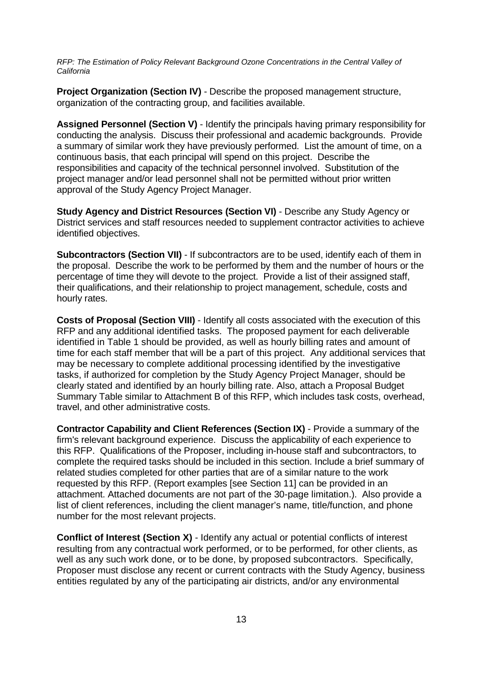**Project Organization (Section IV)** - Describe the proposed management structure, organization of the contracting group, and facilities available.

**Assigned Personnel (Section V)** - Identify the principals having primary responsibility for conducting the analysis. Discuss their professional and academic backgrounds. Provide a summary of similar work they have previously performed. List the amount of time, on a continuous basis, that each principal will spend on this project. Describe the responsibilities and capacity of the technical personnel involved. Substitution of the project manager and/or lead personnel shall not be permitted without prior written approval of the Study Agency Project Manager.

**Study Agency and District Resources (Section VI)** - Describe any Study Agency or District services and staff resources needed to supplement contractor activities to achieve identified objectives.

**Subcontractors (Section VII)** - If subcontractors are to be used, identify each of them in the proposal. Describe the work to be performed by them and the number of hours or the percentage of time they will devote to the project. Provide a list of their assigned staff, their qualifications, and their relationship to project management, schedule, costs and hourly rates.

**Costs of Proposal (Section VIII)** - Identify all costs associated with the execution of this RFP and any additional identified tasks. The proposed payment for each deliverable identified in Table 1 should be provided, as well as hourly billing rates and amount of time for each staff member that will be a part of this project. Any additional services that may be necessary to complete additional processing identified by the investigative tasks, if authorized for completion by the Study Agency Project Manager, should be clearly stated and identified by an hourly billing rate. Also, attach a Proposal Budget Summary Table similar to Attachment B of this RFP, which includes task costs, overhead, travel, and other administrative costs.

**Contractor Capability and Client References (Section IX)** - Provide a summary of the firm's relevant background experience. Discuss the applicability of each experience to this RFP. Qualifications of the Proposer, including in-house staff and subcontractors, to complete the required tasks should be included in this section. Include a brief summary of related studies completed for other parties that are of a similar nature to the work requested by this RFP. (Report examples [see Section 11] can be provided in an attachment. Attached documents are not part of the 30-page limitation.). Also provide a list of client references, including the client manager's name, title/function, and phone number for the most relevant projects.

**Conflict of Interest (Section X)** - Identify any actual or potential conflicts of interest resulting from any contractual work performed, or to be performed, for other clients, as well as any such work done, or to be done, by proposed subcontractors. Specifically, Proposer must disclose any recent or current contracts with the Study Agency, business entities regulated by any of the participating air districts, and/or any environmental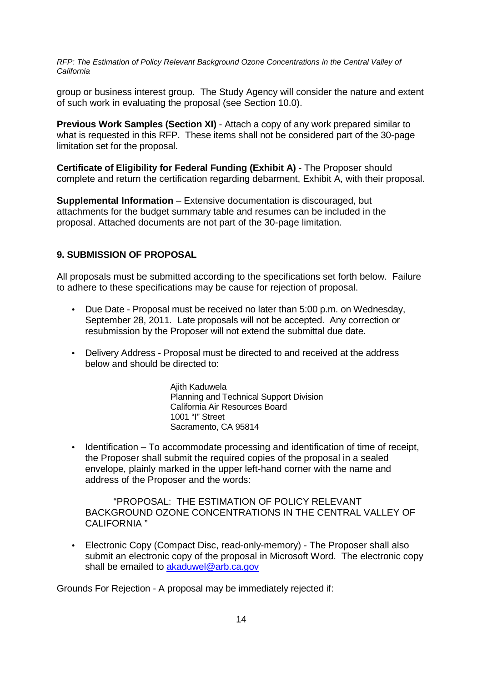group or business interest group. The Study Agency will consider the nature and extent of such work in evaluating the proposal (see Section 10.0).

**Previous Work Samples (Section XI)** - Attach a copy of any work prepared similar to what is requested in this RFP. These items shall not be considered part of the 30-page limitation set for the proposal.

**Certificate of Eligibility for Federal Funding (Exhibit A)** - The Proposer should complete and return the certification regarding debarment, Exhibit A, with their proposal.

**Supplemental Information** – Extensive documentation is discouraged, but attachments for the budget summary table and resumes can be included in the proposal. Attached documents are not part of the 30-page limitation.

#### **9. SUBMISSION OF PROPOSAL**

All proposals must be submitted according to the specifications set forth below. Failure to adhere to these specifications may be cause for rejection of proposal.

- Due Date Proposal must be received no later than 5:00 p.m. on Wednesday, September 28, 2011. Late proposals will not be accepted. Any correction or resubmission by the Proposer will not extend the submittal due date.
- Delivery Address Proposal must be directed to and received at the address below and should be directed to:

Ajith Kaduwela Planning and Technical Support Division California Air Resources Board 1001 "I" Street Sacramento, CA 95814

• Identification – To accommodate processing and identification of time of receipt, the Proposer shall submit the required copies of the proposal in a sealed envelope, plainly marked in the upper left-hand corner with the name and address of the Proposer and the words:

"PROPOSAL: THE ESTIMATION OF POLICY RELEVANT BACKGROUND OZONE CONCENTRATIONS IN THE CENTRAL VALLEY OF CALIFORNIA "

• Electronic Copy (Compact Disc, read-only-memory) - The Proposer shall also submit an electronic copy of the proposal in Microsoft Word. The electronic copy shall be emailed to akaduwel@arb.ca.gov

Grounds For Rejection - A proposal may be immediately rejected if: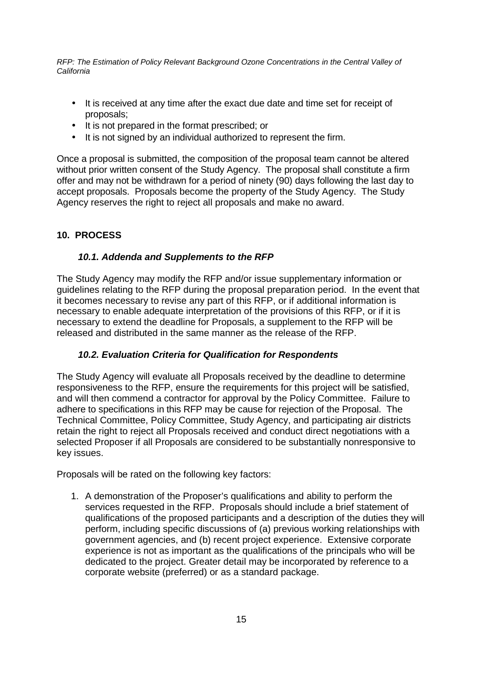- It is received at any time after the exact due date and time set for receipt of proposals;
- It is not prepared in the format prescribed; or
- It is not signed by an individual authorized to represent the firm.

Once a proposal is submitted, the composition of the proposal team cannot be altered without prior written consent of the Study Agency. The proposal shall constitute a firm offer and may not be withdrawn for a period of ninety (90) days following the last day to accept proposals. Proposals become the property of the Study Agency. The Study Agency reserves the right to reject all proposals and make no award.

#### **10. PROCESS**

#### **10.1. Addenda and Supplements to the RFP**

The Study Agency may modify the RFP and/or issue supplementary information or guidelines relating to the RFP during the proposal preparation period. In the event that it becomes necessary to revise any part of this RFP, or if additional information is necessary to enable adequate interpretation of the provisions of this RFP, or if it is necessary to extend the deadline for Proposals, a supplement to the RFP will be released and distributed in the same manner as the release of the RFP.

#### **10.2. Evaluation Criteria for Qualification for Respondents**

The Study Agency will evaluate all Proposals received by the deadline to determine responsiveness to the RFP, ensure the requirements for this project will be satisfied, and will then commend a contractor for approval by the Policy Committee. Failure to adhere to specifications in this RFP may be cause for rejection of the Proposal. The Technical Committee, Policy Committee, Study Agency, and participating air districts retain the right to reject all Proposals received and conduct direct negotiations with a selected Proposer if all Proposals are considered to be substantially nonresponsive to key issues.

Proposals will be rated on the following key factors:

1. A demonstration of the Proposer's qualifications and ability to perform the services requested in the RFP. Proposals should include a brief statement of qualifications of the proposed participants and a description of the duties they will perform, including specific discussions of (a) previous working relationships with government agencies, and (b) recent project experience. Extensive corporate experience is not as important as the qualifications of the principals who will be dedicated to the project. Greater detail may be incorporated by reference to a corporate website (preferred) or as a standard package.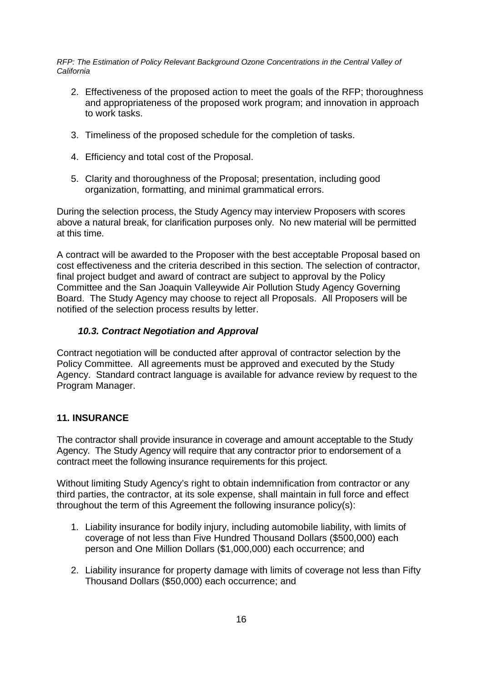- 2. Effectiveness of the proposed action to meet the goals of the RFP; thoroughness and appropriateness of the proposed work program; and innovation in approach to work tasks.
- 3. Timeliness of the proposed schedule for the completion of tasks.
- 4. Efficiency and total cost of the Proposal.
- 5. Clarity and thoroughness of the Proposal; presentation, including good organization, formatting, and minimal grammatical errors.

During the selection process, the Study Agency may interview Proposers with scores above a natural break, for clarification purposes only. No new material will be permitted at this time.

A contract will be awarded to the Proposer with the best acceptable Proposal based on cost effectiveness and the criteria described in this section. The selection of contractor, final project budget and award of contract are subject to approval by the Policy Committee and the San Joaquin Valleywide Air Pollution Study Agency Governing Board. The Study Agency may choose to reject all Proposals. All Proposers will be notified of the selection process results by letter.

#### **10.3. Contract Negotiation and Approval**

Contract negotiation will be conducted after approval of contractor selection by the Policy Committee. All agreements must be approved and executed by the Study Agency. Standard contract language is available for advance review by request to the Program Manager.

#### **11. INSURANCE**

The contractor shall provide insurance in coverage and amount acceptable to the Study Agency. The Study Agency will require that any contractor prior to endorsement of a contract meet the following insurance requirements for this project.

Without limiting Study Agency's right to obtain indemnification from contractor or any third parties, the contractor, at its sole expense, shall maintain in full force and effect throughout the term of this Agreement the following insurance policy(s):

- 1. Liability insurance for bodily injury, including automobile liability, with limits of coverage of not less than Five Hundred Thousand Dollars (\$500,000) each person and One Million Dollars (\$1,000,000) each occurrence; and
- 2. Liability insurance for property damage with limits of coverage not less than Fifty Thousand Dollars (\$50,000) each occurrence; and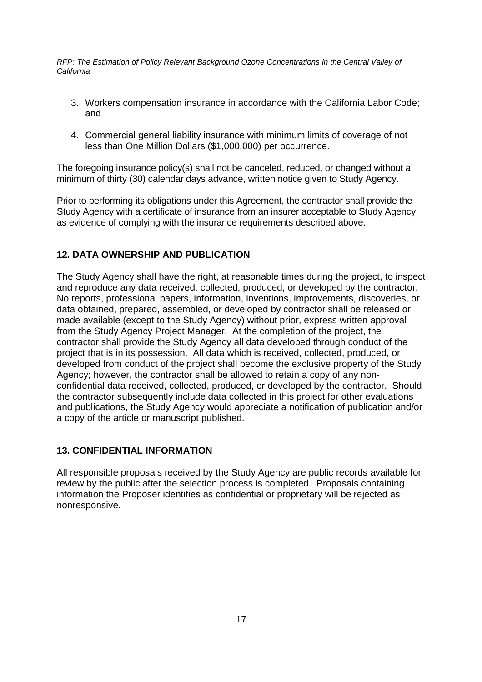- 3. Workers compensation insurance in accordance with the California Labor Code; and
- 4. Commercial general liability insurance with minimum limits of coverage of not less than One Million Dollars (\$1,000,000) per occurrence.

The foregoing insurance policy(s) shall not be canceled, reduced, or changed without a minimum of thirty (30) calendar days advance, written notice given to Study Agency.

Prior to performing its obligations under this Agreement, the contractor shall provide the Study Agency with a certificate of insurance from an insurer acceptable to Study Agency as evidence of complying with the insurance requirements described above.

#### **12. DATA OWNERSHIP AND PUBLICATION**

The Study Agency shall have the right, at reasonable times during the project, to inspect and reproduce any data received, collected, produced, or developed by the contractor. No reports, professional papers, information, inventions, improvements, discoveries, or data obtained, prepared, assembled, or developed by contractor shall be released or made available (except to the Study Agency) without prior, express written approval from the Study Agency Project Manager. At the completion of the project, the contractor shall provide the Study Agency all data developed through conduct of the project that is in its possession. All data which is received, collected, produced, or developed from conduct of the project shall become the exclusive property of the Study Agency; however, the contractor shall be allowed to retain a copy of any nonconfidential data received, collected, produced, or developed by the contractor. Should the contractor subsequently include data collected in this project for other evaluations and publications, the Study Agency would appreciate a notification of publication and/or a copy of the article or manuscript published.

#### **13. CONFIDENTIAL INFORMATION**

All responsible proposals received by the Study Agency are public records available for review by the public after the selection process is completed. Proposals containing information the Proposer identifies as confidential or proprietary will be rejected as nonresponsive.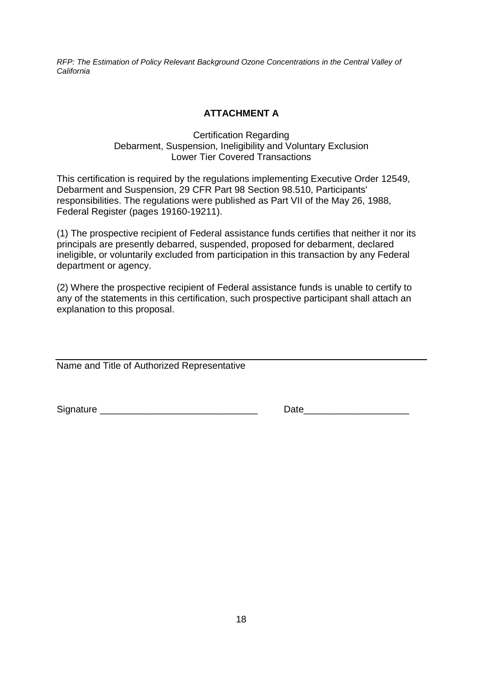### **ATTACHMENT A**

#### Certification Regarding Debarment, Suspension, Ineligibility and Voluntary Exclusion Lower Tier Covered Transactions

This certification is required by the regulations implementing Executive Order 12549, Debarment and Suspension, 29 CFR Part 98 Section 98.510, Participants' responsibilities. The regulations were published as Part VII of the May 26, 1988, Federal Register (pages 19160-19211).

(1) The prospective recipient of Federal assistance funds certifies that neither it nor its principals are presently debarred, suspended, proposed for debarment, declared ineligible, or voluntarily excluded from participation in this transaction by any Federal department or agency.

(2) Where the prospective recipient of Federal assistance funds is unable to certify to any of the statements in this certification, such prospective participant shall attach an explanation to this proposal.

Name and Title of Authorized Representative

Signature \_\_\_\_\_\_\_\_\_\_\_\_\_\_\_\_\_\_\_\_\_\_\_\_\_\_\_\_\_\_ Date\_\_\_\_\_\_\_\_\_\_\_\_\_\_\_\_\_\_\_\_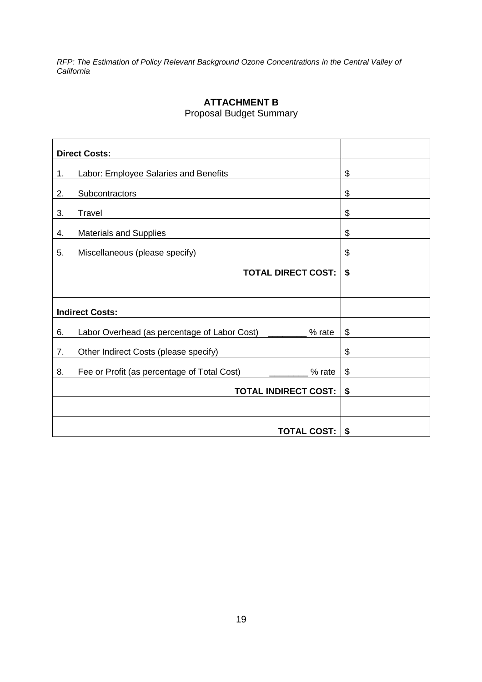Proposal Budget Summary

|    | <b>Direct Costs:</b>                                   |    |
|----|--------------------------------------------------------|----|
|    |                                                        |    |
| 1. | Labor: Employee Salaries and Benefits                  | \$ |
| 2. | Subcontractors                                         | \$ |
| 3. | Travel                                                 | \$ |
| 4. | <b>Materials and Supplies</b>                          | \$ |
| 5. | Miscellaneous (please specify)                         | \$ |
|    | <b>TOTAL DIRECT COST:</b>                              | \$ |
|    |                                                        |    |
|    | <b>Indirect Costs:</b>                                 |    |
| 6. | Labor Overhead (as percentage of Labor Cost)<br>% rate | \$ |
| 7. | Other Indirect Costs (please specify)                  | \$ |
| 8. | Fee or Profit (as percentage of Total Cost)<br>% rate  | \$ |
|    | <b>TOTAL INDIRECT COST:</b>                            | \$ |
|    |                                                        |    |
|    | <b>TOTAL COST:</b>                                     | \$ |